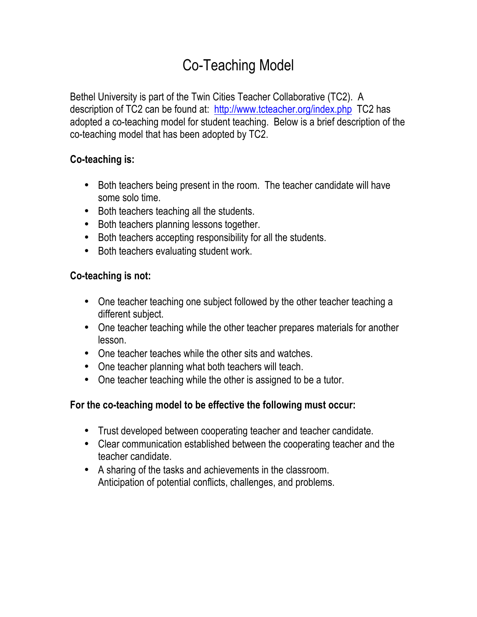## Co-Teaching Model

Bethel University is part of the Twin Cities Teacher Collaborative (TC2). A description of TC2 can be found at: http://www.tcteacher.org/index.php TC2 has adopted a co-teaching model for student teaching. Below is a brief description of the co-teaching model that has been adopted by TC2.

## **Co-teaching is:**

- Both teachers being present in the room. The teacher candidate will have some solo time.
- Both teachers teaching all the students.
- Both teachers planning lessons together.
- Both teachers accepting responsibility for all the students.
- Both teachers evaluating student work.

## **Co-teaching is not:**

- One teacher teaching one subject followed by the other teacher teaching a different subject.
- One teacher teaching while the other teacher prepares materials for another lesson.
- One teacher teaches while the other sits and watches.
- One teacher planning what both teachers will teach.
- One teacher teaching while the other is assigned to be a tutor.

## **For the co-teaching model to be effective the following must occur:**

- Trust developed between cooperating teacher and teacher candidate.
- Clear communication established between the cooperating teacher and the teacher candidate.
- A sharing of the tasks and achievements in the classroom. Anticipation of potential conflicts, challenges, and problems.